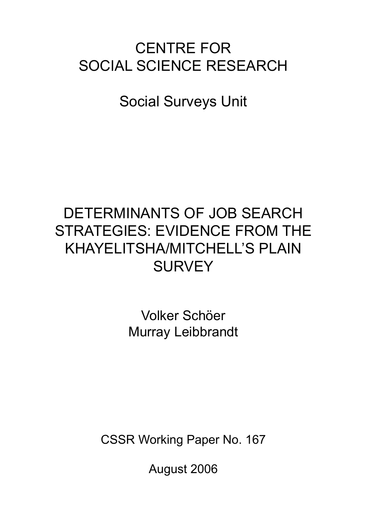# CENTRE FOR SOCIAL SCIENCE RESEARCH

Social Surveys Unit

# DETERMINANTS OF JOB SEARCH STRATEGIES: EVIDENCE FROM THE KHAYELITSHA/MITCHELL'S PLAIN **SURVEY**

Volker Schöer Murray Leibbrandt

CSSR Working Paper No. 167

August 2006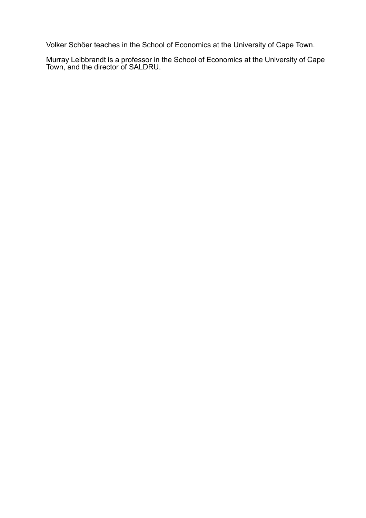Volker Schöer teaches in the School of Economics at the University of Cape Town.

Murray Leibbrandt is a professor in the School of Economics at the University of Cape Town, and the director of SALDRU.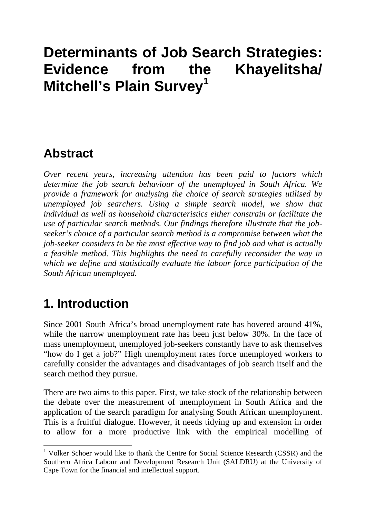# **Determinants of Job Search Strategies: Evidence from the Khayelitsha/ Mitchell's Plain Survey<sup>1</sup>**

## **Abstract**

*Over recent years, increasing attention has been paid to factors which determine the job search behaviour of the unemployed in South Africa. We provide a framework for analysing the choice of search strategies utilised by unemployed job searchers. Using a simple search model, we show that individual as well as household characteristics either constrain or facilitate the use of particular search methods. Our findings therefore illustrate that the jobseeker's choice of a particular search method is a compromise between what the job-seeker considers to be the most effective way to find job and what is actually a feasible method. This highlights the need to carefully reconsider the way in which we define and statistically evaluate the labour force participation of the South African unemployed.* 

# **1. Introduction**

<u>.</u>

Since 2001 South Africa's broad unemployment rate has hovered around 41%, while the narrow unemployment rate has been just below 30%. In the face of mass unemployment, unemployed job-seekers constantly have to ask themselves "how do I get a job?" High unemployment rates force unemployed workers to carefully consider the advantages and disadvantages of job search itself and the search method they pursue.

There are two aims to this paper. First, we take stock of the relationship between the debate over the measurement of unemployment in South Africa and the application of the search paradigm for analysing South African unemployment. This is a fruitful dialogue. However, it needs tidying up and extension in order to allow for a more productive link with the empirical modelling of

<sup>&</sup>lt;sup>1</sup> Volker Schoer would like to thank the Centre for Social Science Research (CSSR) and the Southern Africa Labour and Development Research Unit (SALDRU) at the University of Cape Town for the financial and intellectual support.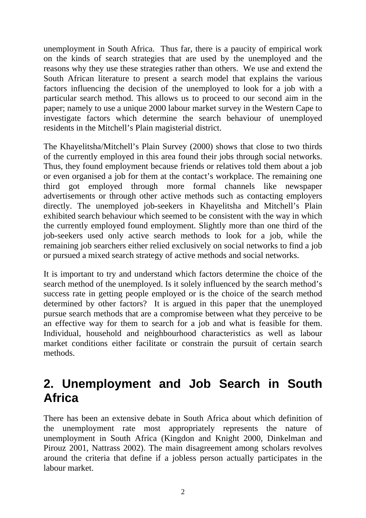unemployment in South Africa. Thus far, there is a paucity of empirical work on the kinds of search strategies that are used by the unemployed and the reasons why they use these strategies rather than others. We use and extend the South African literature to present a search model that explains the various factors influencing the decision of the unemployed to look for a job with a particular search method. This allows us to proceed to our second aim in the paper; namely to use a unique 2000 labour market survey in the Western Cape to investigate factors which determine the search behaviour of unemployed residents in the Mitchell's Plain magisterial district.

The Khayelitsha/Mitchell's Plain Survey (2000) shows that close to two thirds of the currently employed in this area found their jobs through social networks. Thus, they found employment because friends or relatives told them about a job or even organised a job for them at the contact's workplace. The remaining one third got employed through more formal channels like newspaper advertisements or through other active methods such as contacting employers directly. The unemployed job-seekers in Khayelitsha and Mitchell's Plain exhibited search behaviour which seemed to be consistent with the way in which the currently employed found employment. Slightly more than one third of the job-seekers used only active search methods to look for a job, while the remaining job searchers either relied exclusively on social networks to find a job or pursued a mixed search strategy of active methods and social networks.

It is important to try and understand which factors determine the choice of the search method of the unemployed. Is it solely influenced by the search method's success rate in getting people employed or is the choice of the search method determined by other factors? It is argued in this paper that the unemployed pursue search methods that are a compromise between what they perceive to be an effective way for them to search for a job and what is feasible for them. Individual, household and neighbourhood characteristics as well as labour market conditions either facilitate or constrain the pursuit of certain search methods.

# **2. Unemployment and Job Search in South Africa**

There has been an extensive debate in South Africa about which definition of the unemployment rate most appropriately represents the nature of unemployment in South Africa (Kingdon and Knight 2000, Dinkelman and Pirouz 2001, Nattrass 2002). The main disagreement among scholars revolves around the criteria that define if a jobless person actually participates in the labour market.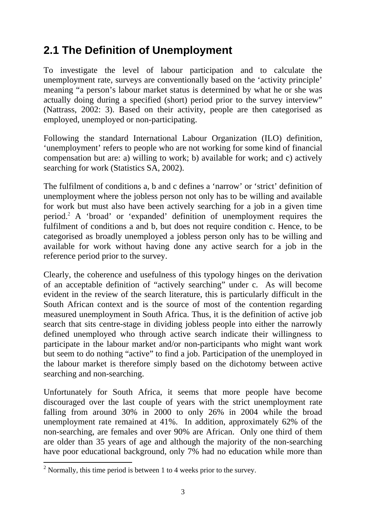## **2.1 The Definition of Unemployment**

To investigate the level of labour participation and to calculate the unemployment rate, surveys are conventionally based on the 'activity principle' meaning "a person's labour market status is determined by what he or she was actually doing during a specified (short) period prior to the survey interview" (Nattrass, 2002: 3). Based on their activity, people are then categorised as employed, unemployed or non-participating.

Following the standard International Labour Organization (ILO) definition, 'unemployment' refers to people who are not working for some kind of financial compensation but are: a) willing to work; b) available for work; and c) actively searching for work (Statistics SA, 2002).

The fulfilment of conditions a, b and c defines a 'narrow' or 'strict' definition of unemployment where the jobless person not only has to be willing and available for work but must also have been actively searching for a job in a given time period.<sup>2</sup> A 'broad' or 'expanded' definition of unemployment requires the fulfilment of conditions a and b, but does not require condition c. Hence, to be categorised as broadly unemployed a jobless person only has to be willing and available for work without having done any active search for a job in the reference period prior to the survey.

Clearly, the coherence and usefulness of this typology hinges on the derivation of an acceptable definition of "actively searching" under c. As will become evident in the review of the search literature, this is particularly difficult in the South African context and is the source of most of the contention regarding measured unemployment in South Africa. Thus, it is the definition of active job search that sits centre-stage in dividing jobless people into either the narrowly defined unemployed who through active search indicate their willingness to participate in the labour market and/or non-participants who might want work but seem to do nothing "active" to find a job. Participation of the unemployed in the labour market is therefore simply based on the dichotomy between active searching and non-searching.

Unfortunately for South Africa, it seems that more people have become discouraged over the last couple of years with the strict unemployment rate falling from around 30% in 2000 to only 26% in 2004 while the broad unemployment rate remained at 41%. In addition, approximately 62% of the non-searching, are females and over 90% are African. Only one third of them are older than 35 years of age and although the majority of the non-searching have poor educational background, only 7% had no education while more than

<sup>&</sup>lt;sup>2</sup> Normally, this time period is between 1 to 4 weeks prior to the survey.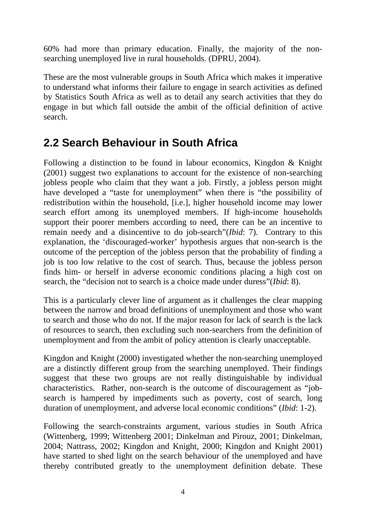60% had more than primary education. Finally, the majority of the nonsearching unemployed live in rural households. (DPRU, 2004).

These are the most vulnerable groups in South Africa which makes it imperative to understand what informs their failure to engage in search activities as defined by Statistics South Africa as well as to detail any search activities that they do engage in but which fall outside the ambit of the official definition of active search.

### **2.2 Search Behaviour in South Africa**

Following a distinction to be found in labour economics, Kingdon & Knight (2001) suggest two explanations to account for the existence of non-searching jobless people who claim that they want a job. Firstly, a jobless person might have developed a "taste for unemployment" when there is "the possibility of redistribution within the household, [i.e.], higher household income may lower search effort among its unemployed members. If high-income households support their poorer members according to need, there can be an incentive to remain needy and a disincentive to do job-search"(*Ibid*: 7). Contrary to this explanation, the 'discouraged-worker' hypothesis argues that non-search is the outcome of the perception of the jobless person that the probability of finding a job is too low relative to the cost of search. Thus, because the jobless person finds him- or herself in adverse economic conditions placing a high cost on search, the "decision not to search is a choice made under duress"(*Ibid*: 8).

This is a particularly clever line of argument as it challenges the clear mapping between the narrow and broad definitions of unemployment and those who want to search and those who do not. If the major reason for lack of search is the lack of resources to search, then excluding such non-searchers from the definition of unemployment and from the ambit of policy attention is clearly unacceptable.

Kingdon and Knight (2000) investigated whether the non-searching unemployed are a distinctly different group from the searching unemployed. Their findings suggest that these two groups are not really distinguishable by individual characteristics. Rather, non-search is the outcome of discouragement as "jobsearch is hampered by impediments such as poverty, cost of search, long duration of unemployment, and adverse local economic conditions" (*Ibid*: 1-2).

Following the search-constraints argument, various studies in South Africa (Wittenberg, 1999; Wittenberg 2001; Dinkelman and Pirouz, 2001; Dinkelman, 2004; Nattrass, 2002; Kingdon and Knight, 2000; Kingdon and Knight 2001) have started to shed light on the search behaviour of the unemployed and have thereby contributed greatly to the unemployment definition debate. These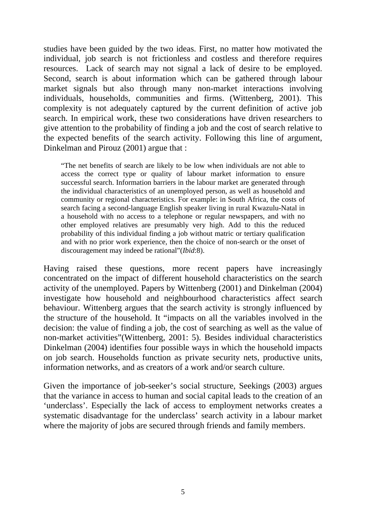studies have been guided by the two ideas. First, no matter how motivated the individual, job search is not frictionless and costless and therefore requires resources. Lack of search may not signal a lack of desire to be employed. Second, search is about information which can be gathered through labour market signals but also through many non-market interactions involving individuals, households, communities and firms. (Wittenberg, 2001). This complexity is not adequately captured by the current definition of active job search. In empirical work, these two considerations have driven researchers to give attention to the probability of finding a job and the cost of search relative to the expected benefits of the search activity. Following this line of argument, Dinkelman and Pirouz (2001) argue that :

"The net benefits of search are likely to be low when individuals are not able to access the correct type or quality of labour market information to ensure successful search. Information barriers in the labour market are generated through the individual characteristics of an unemployed person, as well as household and community or regional characteristics. For example: in South Africa, the costs of search facing a second-language English speaker living in rural Kwazulu-Natal in a household with no access to a telephone or regular newspapers, and with no other employed relatives are presumably very high. Add to this the reduced probability of this individual finding a job without matric or tertiary qualification and with no prior work experience, then the choice of non-search or the onset of discouragement may indeed be rational"(*Ibid*:8).

Having raised these questions, more recent papers have increasingly concentrated on the impact of different household characteristics on the search activity of the unemployed. Papers by Wittenberg (2001) and Dinkelman (2004) investigate how household and neighbourhood characteristics affect search behaviour. Wittenberg argues that the search activity is strongly influenced by the structure of the household. It "impacts on all the variables involved in the decision: the value of finding a job, the cost of searching as well as the value of non-market activities"(Wittenberg, 2001: 5). Besides individual characteristics Dinkelman (2004) identifies four possible ways in which the household impacts on job search. Households function as private security nets, productive units, information networks, and as creators of a work and/or search culture.

Given the importance of job-seeker's social structure, Seekings (2003) argues that the variance in access to human and social capital leads to the creation of an 'underclass'. Especially the lack of access to employment networks creates a systematic disadvantage for the underclass' search activity in a labour market where the majority of jobs are secured through friends and family members.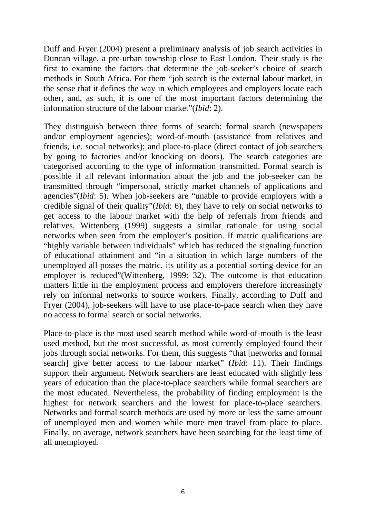Duff and Fryer (2004) present a preliminary analysis of job search activities in Duncan village, a pre-urban township close to East London. Their study is the first to examine the factors that determine the job-seeker's choice of search methods in South Africa. For them "job search is the external labour market, in the sense that it defines the way in which employees and employers locate each other, and, as such, it is one of the most important factors determining the information structure of the labour market"(*Ibid*: 2).

They distinguish between three forms of search: formal search (newspapers and/or employment agencies); word-of-mouth (assistance from relatives and friends, i.e. social networks); and place-to-place (direct contact of job searchers by going to factories and/or knocking on doors). The search categories are categorised according to the type of information transmitted. Formal search is possible if all relevant information about the job and the job-seeker can be transmitted through "impersonal, strictly market channels of applications and agencies"(*Ibid*: 5). When job-seekers are "unable to provide employers with a credible signal of their quality"(*Ibid*: 6), they have to rely on social networks to get access to the labour market with the help of referrals from friends and relatives. Wittenberg (1999) suggests a similar rationale for using social networks when seen from the employer's position. If matric qualifications are "highly variable between individuals" which has reduced the signaling function of educational attainment and "in a situation in which large numbers of the unemployed all posses the matric, its utility as a potential sorting device for an employer is reduced"(Wittenberg, 1999: 32). The outcome is that education matters little in the employment process and employers therefore increasingly rely on informal networks to source workers. Finally, according to Duff and Fryer (2004), job-seekers will have to use place-to-pace search when they have no access to formal search or social networks.

Place-to-place is the most used search method while word-of-mouth is the least used method, but the most successful, as most currently employed found their jobs through social networks. For them, this suggests "that [networks and formal search] give better access to the labour market" (*Ibid*: 11). Their findings support their argument. Network searchers are least educated with slightly less years of education than the place-to-place searchers while formal searchers are the most educated. Nevertheless, the probability of finding employment is the highest for network searchers and the lowest for place-to-place searchers. Networks and formal search methods are used by more or less the same amount of unemployed men and women while more men travel from place to place. Finally, on average, network searchers have been searching for the least time of all unemployed.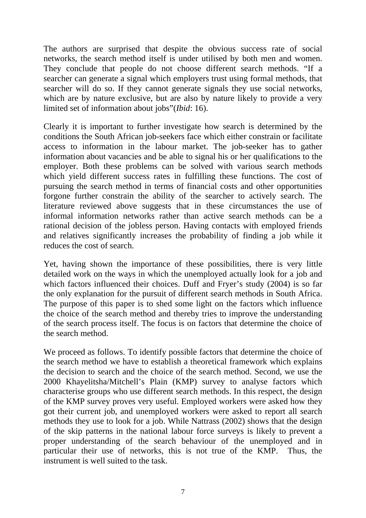The authors are surprised that despite the obvious success rate of social networks, the search method itself is under utilised by both men and women. They conclude that people do not choose different search methods. "If a searcher can generate a signal which employers trust using formal methods, that searcher will do so. If they cannot generate signals they use social networks, which are by nature exclusive, but are also by nature likely to provide a very limited set of information about jobs"(*Ibid*: 16).

Clearly it is important to further investigate how search is determined by the conditions the South African job-seekers face which either constrain or facilitate access to information in the labour market. The job-seeker has to gather information about vacancies and be able to signal his or her qualifications to the employer. Both these problems can be solved with various search methods which yield different success rates in fulfilling these functions. The cost of pursuing the search method in terms of financial costs and other opportunities forgone further constrain the ability of the searcher to actively search. The literature reviewed above suggests that in these circumstances the use of informal information networks rather than active search methods can be a rational decision of the jobless person. Having contacts with employed friends and relatives significantly increases the probability of finding a job while it reduces the cost of search.

Yet, having shown the importance of these possibilities, there is very little detailed work on the ways in which the unemployed actually look for a job and which factors influenced their choices. Duff and Fryer's study (2004) is so far the only explanation for the pursuit of different search methods in South Africa. The purpose of this paper is to shed some light on the factors which influence the choice of the search method and thereby tries to improve the understanding of the search process itself. The focus is on factors that determine the choice of the search method.

We proceed as follows. To identify possible factors that determine the choice of the search method we have to establish a theoretical framework which explains the decision to search and the choice of the search method. Second, we use the 2000 Khayelitsha/Mitchell's Plain (KMP) survey to analyse factors which characterise groups who use different search methods. In this respect, the design of the KMP survey proves very useful. Employed workers were asked how they got their current job, and unemployed workers were asked to report all search methods they use to look for a job. While Nattrass (2002) shows that the design of the skip patterns in the national labour force surveys is likely to prevent a proper understanding of the search behaviour of the unemployed and in particular their use of networks, this is not true of the KMP. Thus, the instrument is well suited to the task.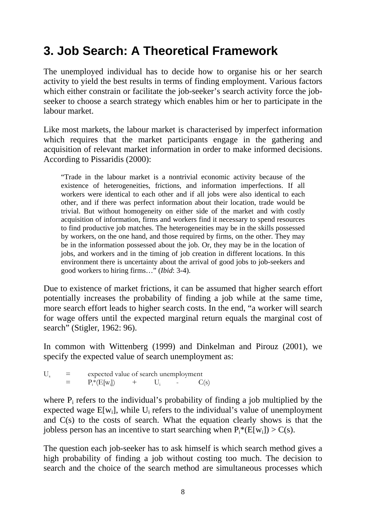# **3. Job Search: A Theoretical Framework**

The unemployed individual has to decide how to organise his or her search activity to yield the best results in terms of finding employment. Various factors which either constrain or facilitate the job-seeker's search activity force the jobseeker to choose a search strategy which enables him or her to participate in the labour market.

Like most markets, the labour market is characterised by imperfect information which requires that the market participants engage in the gathering and acquisition of relevant market information in order to make informed decisions. According to Pissaridis (2000):

"Trade in the labour market is a nontrivial economic activity because of the existence of heterogeneities, frictions, and information imperfections. If all workers were identical to each other and if all jobs were also identical to each other, and if there was perfect information about their location, trade would be trivial. But without homogeneity on either side of the market and with costly acquisition of information, firms and workers find it necessary to spend resources to find productive job matches. The heterogeneities may be in the skills possessed by workers, on the one hand, and those required by firms, on the other. They may be in the information possessed about the job. Or, they may be in the location of jobs, and workers and in the timing of job creation in different locations. In this environment there is uncertainty about the arrival of good jobs to job-seekers and good workers to hiring firms…" (*Ibid*: 3-4).

Due to existence of market frictions, it can be assumed that higher search effort potentially increases the probability of finding a job while at the same time, more search effort leads to higher search costs. In the end, "a worker will search for wage offers until the expected marginal return equals the marginal cost of search" (Stigler, 1962: 96).

In common with Wittenberg (1999) and Dinkelman and Pirouz (2001), we specify the expected value of search unemployment as:

 $U_s$  = expected value of search unemployment<br>=  $P*(F[w])$  +  $U = C$  $=$   $P_i^* (E[w_i])$  +  $U_i$  -  $C(s)$ 

where  $P_i$  refers to the individual's probability of finding a job multiplied by the expected wage  $E[w_i]$ , while  $U_i$  refers to the individual's value of unemployment and C(s) to the costs of search. What the equation clearly shows is that the jobless person has an incentive to start searching when  $P_i^*(E[w_i]) > C(s)$ .

The question each job-seeker has to ask himself is which search method gives a high probability of finding a job without costing too much. The decision to search and the choice of the search method are simultaneous processes which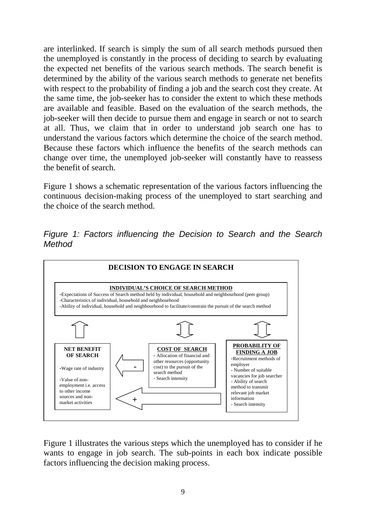are interlinked. If search is simply the sum of all search methods pursued then the unemployed is constantly in the process of deciding to search by evaluating the expected net benefits of the various search methods. The search benefit is determined by the ability of the various search methods to generate net benefits with respect to the probability of finding a job and the search cost they create. At the same time, the job-seeker has to consider the extent to which these methods are available and feasible. Based on the evaluation of the search methods, the job-seeker will then decide to pursue them and engage in search or not to search at all. Thus, we claim that in order to understand job search one has to understand the various factors which determine the choice of the search method. Because these factors which influence the benefits of the search methods can change over time, the unemployed job-seeker will constantly have to reassess the benefit of search.

Figure 1 shows a schematic representation of the various factors influencing the continuous decision-making process of the unemployed to start searching and the choice of the search method.

*Figure 1: Factors influencing the Decision to Search and the Search Method* 



Figure 1 illustrates the various steps which the unemployed has to consider if he wants to engage in job search. The sub-points in each box indicate possible factors influencing the decision making process.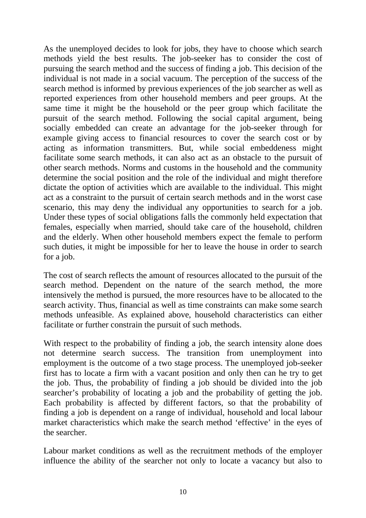As the unemployed decides to look for jobs, they have to choose which search methods yield the best results. The job-seeker has to consider the cost of pursuing the search method and the success of finding a job. This decision of the individual is not made in a social vacuum. The perception of the success of the search method is informed by previous experiences of the job searcher as well as reported experiences from other household members and peer groups. At the same time it might be the household or the peer group which facilitate the pursuit of the search method. Following the social capital argument, being socially embedded can create an advantage for the job-seeker through for example giving access to financial resources to cover the search cost or by acting as information transmitters. But, while social embeddeness might facilitate some search methods, it can also act as an obstacle to the pursuit of other search methods. Norms and customs in the household and the community determine the social position and the role of the individual and might therefore dictate the option of activities which are available to the individual. This might act as a constraint to the pursuit of certain search methods and in the worst case scenario, this may deny the individual any opportunities to search for a job. Under these types of social obligations falls the commonly held expectation that females, especially when married, should take care of the household, children and the elderly. When other household members expect the female to perform such duties, it might be impossible for her to leave the house in order to search for a job.

The cost of search reflects the amount of resources allocated to the pursuit of the search method. Dependent on the nature of the search method, the more intensively the method is pursued, the more resources have to be allocated to the search activity. Thus, financial as well as time constraints can make some search methods unfeasible. As explained above, household characteristics can either facilitate or further constrain the pursuit of such methods.

With respect to the probability of finding a job, the search intensity alone does not determine search success. The transition from unemployment into employment is the outcome of a two stage process. The unemployed job-seeker first has to locate a firm with a vacant position and only then can he try to get the job. Thus, the probability of finding a job should be divided into the job searcher's probability of locating a job and the probability of getting the job. Each probability is affected by different factors, so that the probability of finding a job is dependent on a range of individual, household and local labour market characteristics which make the search method 'effective' in the eyes of the searcher.

Labour market conditions as well as the recruitment methods of the employer influence the ability of the searcher not only to locate a vacancy but also to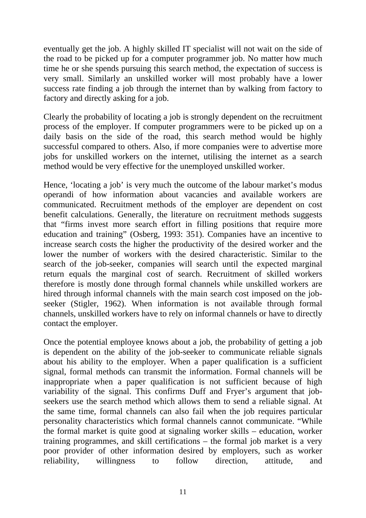eventually get the job. A highly skilled IT specialist will not wait on the side of the road to be picked up for a computer programmer job. No matter how much time he or she spends pursuing this search method, the expectation of success is very small. Similarly an unskilled worker will most probably have a lower success rate finding a job through the internet than by walking from factory to factory and directly asking for a job.

Clearly the probability of locating a job is strongly dependent on the recruitment process of the employer. If computer programmers were to be picked up on a daily basis on the side of the road, this search method would be highly successful compared to others. Also, if more companies were to advertise more jobs for unskilled workers on the internet, utilising the internet as a search method would be very effective for the unemployed unskilled worker.

Hence, 'locating a job' is very much the outcome of the labour market's modus operandi of how information about vacancies and available workers are communicated. Recruitment methods of the employer are dependent on cost benefit calculations. Generally, the literature on recruitment methods suggests that "firms invest more search effort in filling positions that require more education and training" (Osberg, 1993: 351). Companies have an incentive to increase search costs the higher the productivity of the desired worker and the lower the number of workers with the desired characteristic. Similar to the search of the job-seeker, companies will search until the expected marginal return equals the marginal cost of search. Recruitment of skilled workers therefore is mostly done through formal channels while unskilled workers are hired through informal channels with the main search cost imposed on the jobseeker (Stigler, 1962). When information is not available through formal channels, unskilled workers have to rely on informal channels or have to directly contact the employer.

Once the potential employee knows about a job, the probability of getting a job is dependent on the ability of the job-seeker to communicate reliable signals about his ability to the employer. When a paper qualification is a sufficient signal, formal methods can transmit the information. Formal channels will be inappropriate when a paper qualification is not sufficient because of high variability of the signal. This confirms Duff and Fryer's argument that jobseekers use the search method which allows them to send a reliable signal. At the same time, formal channels can also fail when the job requires particular personality characteristics which formal channels cannot communicate. "While the formal market is quite good at signaling worker skills – education, worker training programmes, and skill certifications – the formal job market is a very poor provider of other information desired by employers, such as worker reliability, willingness to follow direction, attitude, and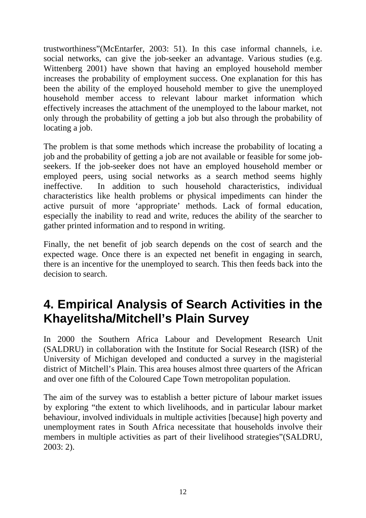trustworthiness"(McEntarfer, 2003: 51). In this case informal channels, i.e. social networks, can give the job-seeker an advantage. Various studies (e.g. Wittenberg 2001) have shown that having an employed household member increases the probability of employment success. One explanation for this has been the ability of the employed household member to give the unemployed household member access to relevant labour market information which effectively increases the attachment of the unemployed to the labour market, not only through the probability of getting a job but also through the probability of locating a job.

The problem is that some methods which increase the probability of locating a job and the probability of getting a job are not available or feasible for some jobseekers. If the job-seeker does not have an employed household member or employed peers, using social networks as a search method seems highly ineffective. In addition to such household characteristics, individual characteristics like health problems or physical impediments can hinder the active pursuit of more 'appropriate' methods. Lack of formal education, especially the inability to read and write, reduces the ability of the searcher to gather printed information and to respond in writing.

Finally, the net benefit of job search depends on the cost of search and the expected wage. Once there is an expected net benefit in engaging in search, there is an incentive for the unemployed to search. This then feeds back into the decision to search.

# **4. Empirical Analysis of Search Activities in the Khayelitsha/Mitchell's Plain Survey**

In 2000 the Southern Africa Labour and Development Research Unit (SALDRU) in collaboration with the Institute for Social Research (ISR) of the University of Michigan developed and conducted a survey in the magisterial district of Mitchell's Plain. This area houses almost three quarters of the African and over one fifth of the Coloured Cape Town metropolitan population.

The aim of the survey was to establish a better picture of labour market issues by exploring "the extent to which livelihoods, and in particular labour market behaviour, involved individuals in multiple activities [because] high poverty and unemployment rates in South Africa necessitate that households involve their members in multiple activities as part of their livelihood strategies"(SALDRU, 2003: 2).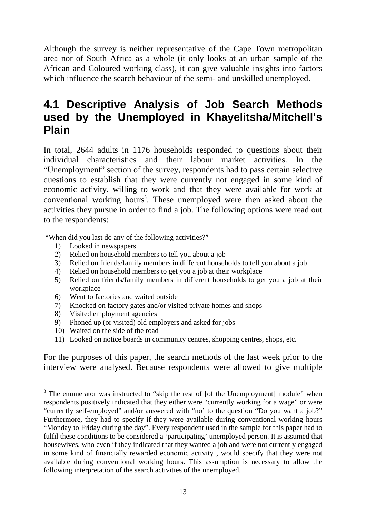Although the survey is neither representative of the Cape Town metropolitan area nor of South Africa as a whole (it only looks at an urban sample of the African and Coloured working class), it can give valuable insights into factors which influence the search behaviour of the semi- and unskilled unemployed.

#### **4.1 Descriptive Analysis of Job Search Methods used by the Unemployed in Khayelitsha/Mitchell's Plain**

In total, 2644 adults in 1176 households responded to questions about their individual characteristics and their labour market activities. In the "Unemployment" section of the survey, respondents had to pass certain selective questions to establish that they were currently not engaged in some kind of economic activity, willing to work and that they were available for work at conventional working hours<sup>3</sup>. These unemployed were then asked about the activities they pursue in order to find a job. The following options were read out to the respondents:

"When did you last do any of the following activities?"

- 1) Looked in newspapers
- 2) Relied on household members to tell you about a job
- 3) Relied on friends/family members in different households to tell you about a job
- 4) Relied on household members to get you a job at their workplace
- 5) Relied on friends/family members in different households to get you a job at their workplace
- 6) Went to factories and waited outside
- 7) Knocked on factory gates and/or visited private homes and shops
- 8) Visited employment agencies
- 9) Phoned up (or visited) old employers and asked for jobs
- 10) Waited on the side of the road

1

11) Looked on notice boards in community centres, shopping centres, shops, etc.

For the purposes of this paper, the search methods of the last week prior to the interview were analysed. Because respondents were allowed to give multiple

 $3$  The enumerator was instructed to "skip the rest of [of the Unemployment] module" when respondents positively indicated that they either were "currently working for a wage" or were "currently self-employed" and/or answered with "no' to the question "Do you want a job?" Furthermore, they had to specify if they were available during conventional working hours "Monday to Friday during the day". Every respondent used in the sample for this paper had to fulfil these conditions to be considered a 'participating' unemployed person. It is assumed that housewives, who even if they indicated that they wanted a job and were not currently engaged in some kind of financially rewarded economic activity , would specify that they were not available during conventional working hours. This assumption is necessary to allow the following interpretation of the search activities of the unemployed.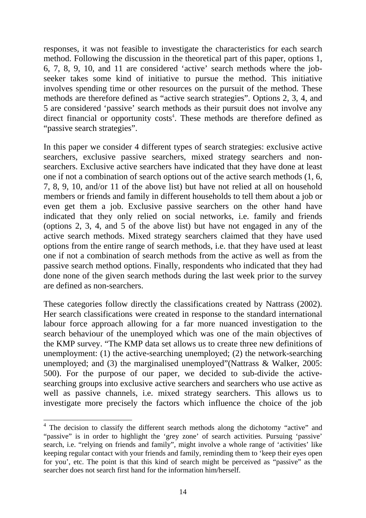responses, it was not feasible to investigate the characteristics for each search method. Following the discussion in the theoretical part of this paper, options 1, 6, 7, 8, 9, 10, and 11 are considered 'active' search methods where the jobseeker takes some kind of initiative to pursue the method. This initiative involves spending time or other resources on the pursuit of the method. These methods are therefore defined as "active search strategies". Options 2, 3, 4, and 5 are considered 'passive' search methods as their pursuit does not involve any direct financial or opportunity  $costs<sup>4</sup>$ . These methods are therefore defined as "*passive search strategies*".

In this paper we consider 4 different types of search strategies: exclusive active searchers, exclusive passive searchers, mixed strategy searchers and nonsearchers. Exclusive active searchers have indicated that they have done at least one if not a combination of search options out of the active search methods (1, 6, 7, 8, 9, 10, and/or 11 of the above list) but have not relied at all on household members or friends and family in different households to tell them about a job or even get them a job. Exclusive passive searchers on the other hand have indicated that they only relied on social networks, i.e. family and friends (options 2, 3, 4, and 5 of the above list) but have not engaged in any of the active search methods. Mixed strategy searchers claimed that they have used options from the entire range of search methods, i.e. that they have used at least one if not a combination of search methods from the active as well as from the passive search method options. Finally, respondents who indicated that they had done none of the given search methods during the last week prior to the survey are defined as non-searchers.

These categories follow directly the classifications created by Nattrass (2002). Her search classifications were created in response to the standard international labour force approach allowing for a far more nuanced investigation to the search behaviour of the unemployed which was one of the main objectives of the KMP survey. "The KMP data set allows us to create three new definitions of unemployment: (1) the active-searching unemployed; (2) the network-searching unemployed; and (3) the marginalised unemployed"(Nattrass & Walker, 2005: 500). For the purpose of our paper, we decided to sub-divide the activesearching groups into exclusive active searchers and searchers who use active as well as passive channels, i.e. mixed strategy searchers. This allows us to investigate more precisely the factors which influence the choice of the job

1

<sup>&</sup>lt;sup>4</sup> The decision to classify the different search methods along the dichotomy "active" and "passive" is in order to highlight the 'grey zone' of search activities. Pursuing 'passive' search, i.e. "relying on friends and family", might involve a whole range of 'activities' like keeping regular contact with your friends and family, reminding them to 'keep their eyes open for you', etc. The point is that this kind of search might be perceived as "passive" as the searcher does not search first hand for the information him/herself.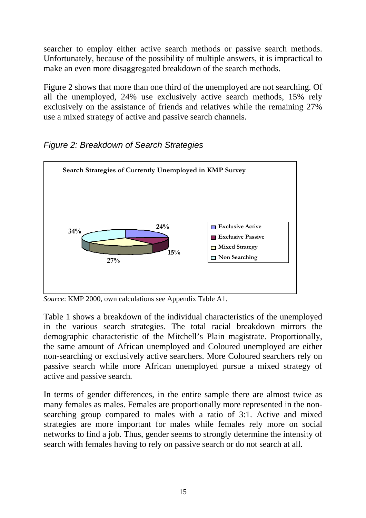searcher to employ either active search methods or passive search methods. Unfortunately, because of the possibility of multiple answers, it is impractical to make an even more disaggregated breakdown of the search methods.

Figure 2 shows that more than one third of the unemployed are not searching. Of all the unemployed, 24% use exclusively active search methods, 15% rely exclusively on the assistance of friends and relatives while the remaining 27% use a mixed strategy of active and passive search channels.



*Figure 2: Breakdown of Search Strategies* 

*Source*: KMP 2000, own calculations see Appendix Table A1.

Table 1 shows a breakdown of the individual characteristics of the unemployed in the various search strategies. The total racial breakdown mirrors the demographic characteristic of the Mitchell's Plain magistrate. Proportionally, the same amount of African unemployed and Coloured unemployed are either non-searching or exclusively active searchers. More Coloured searchers rely on passive search while more African unemployed pursue a mixed strategy of active and passive search*.*

In terms of gender differences, in the entire sample there are almost twice as many females as males. Females are proportionally more represented in the nonsearching group compared to males with a ratio of 3:1. Active and mixed strategies are more important for males while females rely more on social networks to find a job. Thus, gender seems to strongly determine the intensity of search with females having to rely on passive search or do not search at all.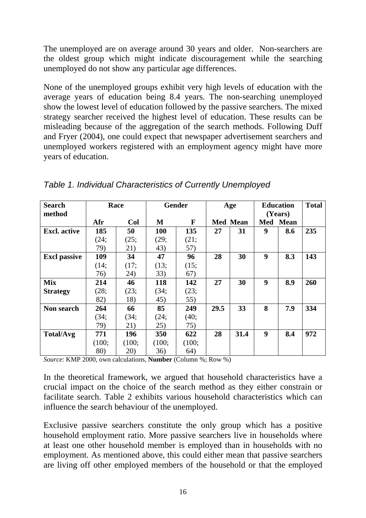The unemployed are on average around 30 years and older. Non-searchers are the oldest group which might indicate discouragement while the searching unemployed do not show any particular age differences.

None of the unemployed groups exhibit very high levels of education with the average years of education being 8.4 years. The non-searching unemployed show the lowest level of education followed by the passive searchers. The mixed strategy searcher received the highest level of education. These results can be misleading because of the aggregation of the search methods. Following Duff and Fryer (2004), one could expect that newspaper advertisement searchers and unemployed workers registered with an employment agency might have more years of education.

| <b>Search</b>       |       | Race       |            | Gender |      | Age             |     | <b>Education</b> | <b>Total</b> |
|---------------------|-------|------------|------------|--------|------|-----------------|-----|------------------|--------------|
| method              |       |            |            |        |      |                 |     | (Years)          |              |
|                     | Afr   | <b>Col</b> | М          | F      |      | <b>Med Mean</b> | Med | <b>Mean</b>      |              |
| <b>Excl.</b> active | 185   | 50         | <b>100</b> | 135    | 27   | 31              | 9   | 8.6              | 235          |
|                     | (24;  | (25;       | (29;       | (21;   |      |                 |     |                  |              |
|                     | 79)   | 21)        | 43)        | 57)    |      |                 |     |                  |              |
| <b>Excl passive</b> | 109   | 34         | 47         | 96     | 28   | 30              | 9   | 8.3              | 143          |
|                     | (14;  | (17;       | (13;       | (15;   |      |                 |     |                  |              |
|                     | 76)   | 24)        | 33)        | 67)    |      |                 |     |                  |              |
| <b>Mix</b>          | 214   | 46         | 118        | 142    | 27   | 30              | 9   | 8.9              | 260          |
| <b>Strategy</b>     | (28;  | (23;       | (34;       | (23;   |      |                 |     |                  |              |
|                     | 82)   | 18)        | 45)        | 55)    |      |                 |     |                  |              |
| Non search          | 264   | 66         | 85         | 249    | 29.5 | 33              | 8   | 7.9              | 334          |
|                     | (34;  | (34;       | (24;       | (40;   |      |                 |     |                  |              |
|                     | 79)   | 21)        | 25)        | 75)    |      |                 |     |                  |              |
| <b>Total/Avg</b>    | 771   | 196        | 350        | 622    | 28   | 31.4            | 9   | 8.4              | 972          |
|                     | (100; | (100;      | (100;      | (100;  |      |                 |     |                  |              |
|                     | 80)   | 20)        | 36)        | 64)    |      |                 |     |                  |              |

*Table 1. Individual Characteristics of Currently Unemployed* 

*Source*: KMP 2000, own calculations, **Number** (Column %; Row %)

In the theoretical framework, we argued that household characteristics have a crucial impact on the choice of the search method as they either constrain or facilitate search. Table 2 exhibits various household characteristics which can influence the search behaviour of the unemployed.

Exclusive passive searchers constitute the only group which has a positive household employment ratio. More passive searchers live in households where at least one other household member is employed than in households with no employment. As mentioned above, this could either mean that passive searchers are living off other employed members of the household or that the employed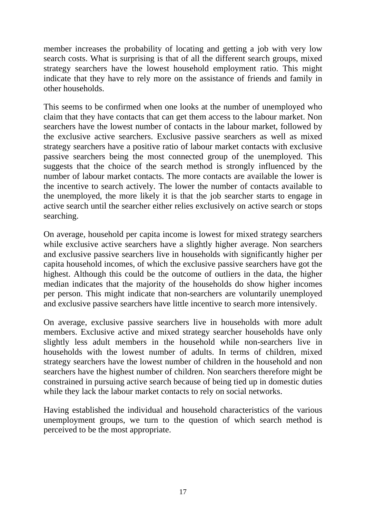member increases the probability of locating and getting a job with very low search costs. What is surprising is that of all the different search groups, mixed strategy searchers have the lowest household employment ratio. This might indicate that they have to rely more on the assistance of friends and family in other households.

This seems to be confirmed when one looks at the number of unemployed who claim that they have contacts that can get them access to the labour market. Non searchers have the lowest number of contacts in the labour market, followed by the exclusive active searchers. Exclusive passive searchers as well as mixed strategy searchers have a positive ratio of labour market contacts with exclusive passive searchers being the most connected group of the unemployed. This suggests that the choice of the search method is strongly influenced by the number of labour market contacts. The more contacts are available the lower is the incentive to search actively. The lower the number of contacts available to the unemployed, the more likely it is that the job searcher starts to engage in active search until the searcher either relies exclusively on active search or stops searching.

On average, household per capita income is lowest for mixed strategy searchers while exclusive active searchers have a slightly higher average. Non searchers and exclusive passive searchers live in households with significantly higher per capita household incomes, of which the exclusive passive searchers have got the highest. Although this could be the outcome of outliers in the data, the higher median indicates that the majority of the households do show higher incomes per person. This might indicate that non-searchers are voluntarily unemployed and exclusive passive searchers have little incentive to search more intensively.

On average, exclusive passive searchers live in households with more adult members. Exclusive active and mixed strategy searcher households have only slightly less adult members in the household while non-searchers live in households with the lowest number of adults. In terms of children, mixed strategy searchers have the lowest number of children in the household and non searchers have the highest number of children. Non searchers therefore might be constrained in pursuing active search because of being tied up in domestic duties while they lack the labour market contacts to rely on social networks.

Having established the individual and household characteristics of the various unemployment groups, we turn to the question of which search method is perceived to be the most appropriate.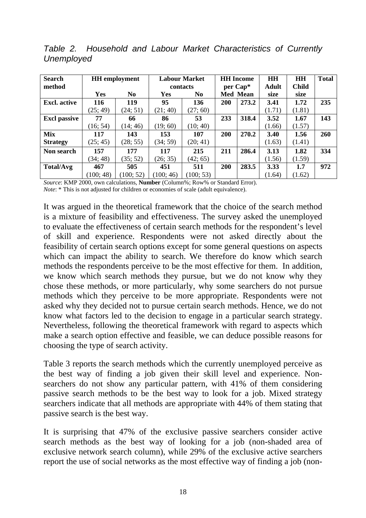| <b>Search</b>       |           | <b>HH</b> employment |            | <b>Labour Market</b> |          | <b>HH</b> Income | <b>HH</b> | <b>HH</b>    | <b>Total</b> |
|---------------------|-----------|----------------------|------------|----------------------|----------|------------------|-----------|--------------|--------------|
| method              |           |                      |            | contacts             | per Cap* |                  | Adult     | <b>Child</b> |              |
|                     | Yes       | N <sub>0</sub>       | <b>Yes</b> | N <sub>0</sub>       |          | <b>Med Mean</b>  | size      | size         |              |
| <b>Excl.</b> active | 116       | 119                  | 95         | 136                  | 200      | 273.2            | 3.41      | 1.72         | 235          |
|                     | (25; 49)  | (24; 51)             | (21; 40)   | (27; 60)             |          |                  | (1.71)    | (1.81)       |              |
| <b>Excl passive</b> | 77        | 66                   | 86         | 53                   | 233      | 318.4            | 3.52      | 1.67         | 143          |
|                     | (16; 54)  | (14; 46)             | (19; 60)   | (10; 40)             |          |                  | (1.66)    | (1.57)       |              |
| Mix                 | 117       | 143                  | 153        | 107                  | 200      | 270.2            | 3.40      | 1.56         | 260          |
| <b>Strategy</b>     | (25; 45)  | (28; 55)             | (34; 59)   | (20; 41)             |          |                  | (1.63)    | (1.41)       |              |
| Non search          | 157       | 177                  | 117        | 215                  | 211      | 286.4            | 3.13      | 1.82         | 334          |
|                     | (34; 48)  | (35; 52)             | (26; 35)   | (42; 65)             |          |                  | (1.56)    | (1.59)       |              |
| <b>Total/Avg</b>    | 467       | 505                  | 451        | 511                  | 200      | 283.5            | 3.33      | 1.7          | 972          |
|                     | (100; 48) | 100; 52)             | (100; 46)  | (100; 53)            |          |                  | (1.64)    | (1.62)       |              |

*Table 2. Household and Labour Market Characteristics of Currently Unemployed* 

*Source*: KMP 2000, own calculations, **Number** (Column%; Row% or Standard Error).

*Note*: \* This is not adjusted for children or economies of scale (adult equivalence).

It was argued in the theoretical framework that the choice of the search method is a mixture of feasibility and effectiveness. The survey asked the unemployed to evaluate the effectiveness of certain search methods for the respondent's level of skill and experience. Respondents were not asked directly about the feasibility of certain search options except for some general questions on aspects which can impact the ability to search. We therefore do know which search methods the respondents perceive to be the most effective for them. In addition, we know which search methods they pursue, but we do not know why they chose these methods, or more particularly, why some searchers do not pursue methods which they perceive to be more appropriate. Respondents were not asked why they decided not to pursue certain search methods. Hence, we do not know what factors led to the decision to engage in a particular search strategy. Nevertheless, following the theoretical framework with regard to aspects which make a search option effective and feasible, we can deduce possible reasons for choosing the type of search activity.

Table 3 reports the search methods which the currently unemployed perceive as the best way of finding a job given their skill level and experience. Nonsearchers do not show any particular pattern, with 41% of them considering passive search methods to be the best way to look for a job. Mixed strategy searchers indicate that all methods are appropriate with 44% of them stating that passive search is the best way.

It is surprising that 47% of the exclusive passive searchers consider active search methods as the best way of looking for a job (non-shaded area of exclusive network search column), while 29% of the exclusive active searchers report the use of social networks as the most effective way of finding a job (non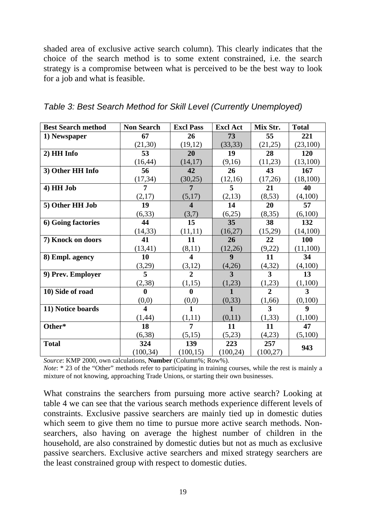shaded area of exclusive active search column). This clearly indicates that the choice of the search method is to some extent constrained, i.e. the search strategy is a compromise between what is perceived to be the best way to look for a job and what is feasible.

| <b>Best Search method</b> | <b>Non Search</b>       | <b>Excl Pass</b>        | <b>Excl Act</b> | Mix Str.       | <b>Total</b>     |
|---------------------------|-------------------------|-------------------------|-----------------|----------------|------------------|
| 1) Newspaper              | 67                      | 26                      | 73              | 55             | 221              |
|                           | (21, 30)                | (19, 12)                | (33, 33)        | (21,25)        | (23,100)         |
| 2) HH Info                | 53                      | 20                      | 19              | 28             | 120              |
|                           | (16, 44)                | (14, 17)                | (9,16)          | (11,23)        | (13,100)         |
| 3) Other HH Info          | 56                      | 42                      | 26              | 43             | 167              |
|                           | (17, 34)                | (30,25)                 | (12,16)         | (17,26)        | (18,100)         |
| 4) HH Job                 | 7                       | 7                       | 5               | 21             | 40               |
|                           | (2,17)                  | (5,17)                  | (2,13)          | (8,53)         | (4,100)          |
| 5) Other HH Job           | 19                      | $\overline{\mathbf{4}}$ | 14              | 20             | 57               |
|                           | (6, 33)                 | (3,7)                   | (6,25)          | (8,35)         | (6,100)          |
| 6) Going factories        | 44                      | 15                      | 35              | 38             | 132              |
|                           | (14, 33)                | (11,11)                 | (16,27)         | (15,29)        | (14,100)         |
| 7) Knock on doors         | 41                      | 11                      | 26              | 22             | 100              |
|                           | (13, 41)                | (8,11)                  | (12,26)         | (9,22)         | (11,100)         |
| 8) Empl. agency           | 10                      | 4                       | 9               | 11             | 34               |
|                           | (3,29)                  | (3,12)                  | (4,26)          | (4,32)         | (4,100)          |
| 9) Prev. Employer         | 5                       | $\overline{2}$          | $\overline{3}$  | $\overline{3}$ | 13               |
|                           | (2, 38)                 | (1,15)                  | (1,23)          | (1,23)         | (1,100)          |
| 10) Side of road          | $\boldsymbol{0}$        | 0                       | $\mathbf{1}$    | $\overline{2}$ | 3                |
|                           | (0,0)                   | (0,0)                   | (0, 33)         | (1,66)         | (0,100)          |
| 11) Notice boards         | $\overline{\mathbf{4}}$ | $\mathbf{1}$            | $\mathbf{1}$    | 3              | $\boldsymbol{9}$ |
|                           | (1, 44)                 | (1,11)                  | (0,11)          | (1, 33)        | (1,100)          |
| Other*                    | 18                      | 7                       | 11              | 11             | 47               |
|                           | (6,38)                  | (5,15)                  | (5,23)          | (4,23)         | (5,100)          |
| <b>Total</b>              | 324                     | 139                     | 223             | 257            | 943              |
|                           | (100, 34)               | (100, 15)               | (100, 24)       | (100, 27)      |                  |

| Table 3: Best Search Method for Skill Level (Currently Unemployed) |  |  |  |
|--------------------------------------------------------------------|--|--|--|
|--------------------------------------------------------------------|--|--|--|

*Source*: KMP 2000, own calculations, **Number** (Column%; Row%).

*Note*: \* 23 of the "Other" methods refer to participating in training courses, while the rest is mainly a mixture of not knowing, approaching Trade Unions, or starting their own businesses.

What constrains the searchers from pursuing more active search? Looking at table 4 we can see that the various search methods experience different levels of constraints. Exclusive passive searchers are mainly tied up in domestic duties which seem to give them no time to pursue more active search methods. Nonsearchers, also having on average the highest number of children in the household, are also constrained by domestic duties but not as much as exclusive passive searchers. Exclusive active searchers and mixed strategy searchers are the least constrained group with respect to domestic duties.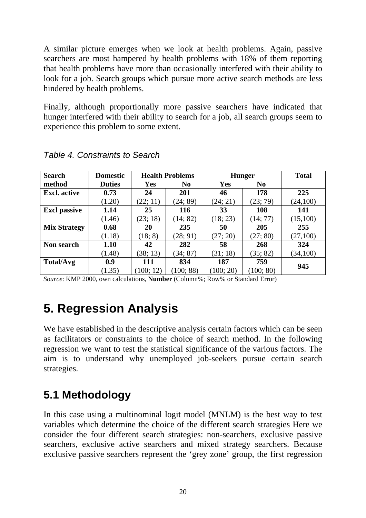A similar picture emerges when we look at health problems. Again, passive searchers are most hampered by health problems with 18% of them reporting that health problems have more than occasionally interfered with their ability to look for a job. Search groups which pursue more active search methods are less hindered by health problems.

Finally, although proportionally more passive searchers have indicated that hunger interfered with their ability to search for a job, all search groups seem to experience this problem to some extent.

| <b>Search</b>       | <b>Domestic</b> | <b>Health Problems</b> |                | <b>Hunger</b> |                | <b>Total</b> |
|---------------------|-----------------|------------------------|----------------|---------------|----------------|--------------|
| method              | <b>Duties</b>   | Yes                    | N <sub>0</sub> | Yes           | N <sub>0</sub> |              |
| <b>Excl.</b> active | 0.73            | 24                     | 201            | 46            | 178            | 225          |
|                     | (1.20)          | (22; 11)               | (24; 89)       | (24; 21)      | (23; 79)       | (24,100)     |
| <b>Excl passive</b> | 1.14            | 25                     | <b>116</b>     | 33            | 108            | 141          |
|                     | (1.46)          | (23; 18)               | (14; 82)       | (18; 23)      | (14; 77)       | (15,100)     |
| <b>Mix Strategy</b> | 0.68            | 20                     | 235            | 50            | 205            | 255          |
|                     | (1.18)          | (18; 8)                | (28; 91)       | (27; 20)      | (27; 80)       | (27,100)     |
| Non search          | 1.10            | 42                     | 282            | 58            | 268            | 324          |
|                     | (1.48)          | (38; 13)               | (34; 87)       | (31; 18)      | (35; 82)       | (34,100)     |
| Total/Avg           | 0.9             | 111                    | 834            | 187           | 759            |              |
|                     | (1.35)          | 100; 12)               | (100; 88)      | (100; 20)     | (100; 80)      | 945          |

*Table 4. Constraints to Search* 

*Source*: KMP 2000, own calculations, **Number** (Column%; Row% or Standard Error)

# **5. Regression Analysis**

We have established in the descriptive analysis certain factors which can be seen as facilitators or constraints to the choice of search method. In the following regression we want to test the statistical significance of the various factors. The aim is to understand why unemployed job-seekers pursue certain search strategies.

### **5.1 Methodology**

In this case using a multinominal logit model (MNLM) is the best way to test variables which determine the choice of the different search strategies Here we consider the four different search strategies: non-searchers, exclusive passive searchers, exclusive active searchers and mixed strategy searchers. Because exclusive passive searchers represent the 'grey zone' group, the first regression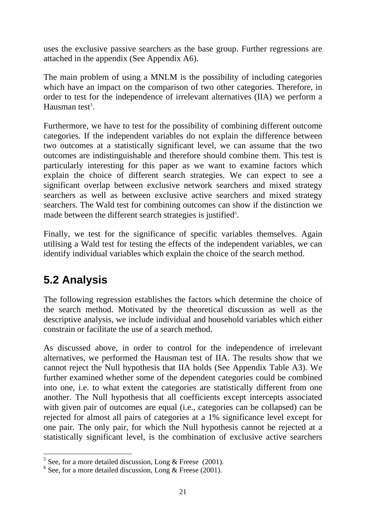uses the exclusive passive searchers as the base group. Further regressions are attached in the appendix (See Appendix A6).

The main problem of using a MNLM is the possibility of including categories which have an impact on the comparison of two other categories. Therefore, in order to test for the independence of irrelevant alternatives (IIA) we perform a Hausman test<sup>5</sup>.

Furthermore, we have to test for the possibility of combining different outcome categories. If the independent variables do not explain the difference between two outcomes at a statistically significant level, we can assume that the two outcomes are indistinguishable and therefore should combine them. This test is particularly interesting for this paper as we want to examine factors which explain the choice of different search strategies. We can expect to see a significant overlap between exclusive network searchers and mixed strategy searchers as well as between exclusive active searchers and mixed strategy searchers. The Wald test for combining outcomes can show if the distinction we made between the different search strategies is justified<sup>6</sup>.

Finally, we test for the significance of specific variables themselves. Again utilising a Wald test for testing the effects of the independent variables, we can identify individual variables which explain the choice of the search method.

## **5.2 Analysis**

The following regression establishes the factors which determine the choice of the search method. Motivated by the theoretical discussion as well as the descriptive analysis, we include individual and household variables which either constrain or facilitate the use of a search method.

As discussed above, in order to control for the independence of irrelevant alternatives, we performed the Hausman test of IIA. The results show that we cannot reject the Null hypothesis that IIA holds (See Appendix Table A3). We further examined whether some of the dependent categories could be combined into one, i.e. to what extent the categories are statistically different from one another. The Null hypothesis that all coefficients except intercepts associated with given pair of outcomes are equal (i.e., categories can be collapsed) can be rejected for almost all pairs of categories at a 1% significance level except for one pair. The only pair, for which the Null hypothesis cannot be rejected at a statistically significant level, is the combination of exclusive active searchers

 $\frac{5}{5}$  See, for a more detailed discussion, Long & Freese (2001).

 $6$  See, for a more detailed discussion, Long & Freese (2001).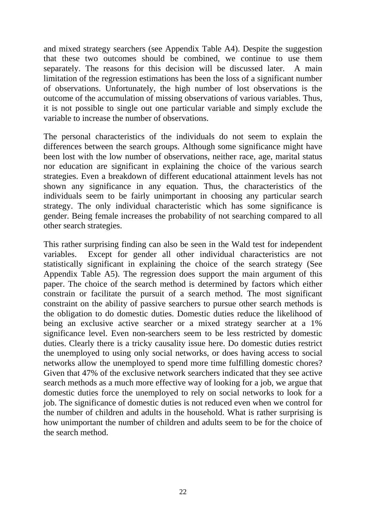and mixed strategy searchers (see Appendix Table A4). Despite the suggestion that these two outcomes should be combined, we continue to use them separately. The reasons for this decision will be discussed later. A main limitation of the regression estimations has been the loss of a significant number of observations. Unfortunately, the high number of lost observations is the outcome of the accumulation of missing observations of various variables. Thus, it is not possible to single out one particular variable and simply exclude the variable to increase the number of observations.

The personal characteristics of the individuals do not seem to explain the differences between the search groups. Although some significance might have been lost with the low number of observations, neither race, age, marital status nor education are significant in explaining the choice of the various search strategies. Even a breakdown of different educational attainment levels has not shown any significance in any equation. Thus, the characteristics of the individuals seem to be fairly unimportant in choosing any particular search strategy. The only individual characteristic which has some significance is gender. Being female increases the probability of not searching compared to all other search strategies.

This rather surprising finding can also be seen in the Wald test for independent variables. Except for gender all other individual characteristics are not statistically significant in explaining the choice of the search strategy (See Appendix Table A5). The regression does support the main argument of this paper. The choice of the search method is determined by factors which either constrain or facilitate the pursuit of a search method. The most significant constraint on the ability of passive searchers to pursue other search methods is the obligation to do domestic duties. Domestic duties reduce the likelihood of being an exclusive active searcher or a mixed strategy searcher at a 1% significance level. Even non-searchers seem to be less restricted by domestic duties. Clearly there is a tricky causality issue here. Do domestic duties restrict the unemployed to using only social networks, or does having access to social networks allow the unemployed to spend more time fulfilling domestic chores? Given that 47% of the exclusive network searchers indicated that they see active search methods as a much more effective way of looking for a job, we argue that domestic duties force the unemployed to rely on social networks to look for a job. The significance of domestic duties is not reduced even when we control for the number of children and adults in the household. What is rather surprising is how unimportant the number of children and adults seem to be for the choice of the search method.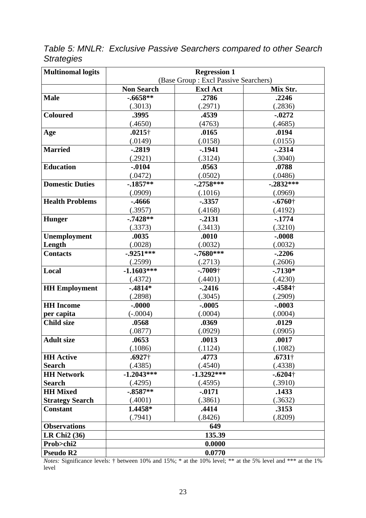*Table 5: MNLR: Exclusive Passive Searchers compared to other Search Strategies* 

| <b>Multinomal logits</b> | <b>Regression 1</b> |                                      |                      |  |  |
|--------------------------|---------------------|--------------------------------------|----------------------|--|--|
|                          |                     | (Base Group: Excl Passive Searchers) |                      |  |  |
|                          | <b>Non Search</b>   | <b>Excl Act</b>                      | Mix Str.             |  |  |
| <b>Male</b>              | $-.6658**$          | .2786                                | .2246                |  |  |
|                          | (.3013)             | (.2971)                              | (.2836)              |  |  |
| <b>Coloured</b>          | .3995               | .4539                                | $-0272$              |  |  |
|                          | (.4650)             | (4763)                               | (.4685)              |  |  |
| Age                      | $.0215\dagger$      | .0165                                | .0194                |  |  |
|                          | (.0149)             | (.0158)                              | (.0155)              |  |  |
| <b>Married</b>           | $-0.2819$           | $-1941$                              | $-.2314$             |  |  |
|                          | (.2921)             | (.3124)                              | (.3040)              |  |  |
| <b>Education</b>         | $-.0104$            | .0563                                | .0788                |  |  |
|                          | (.0472)             | (.0502)                              | (.0486)              |  |  |
| <b>Domestic Duties</b>   | $-.1857**$          | $-.2758***$                          | $-.2832***$          |  |  |
|                          | (.0909)             | (.1016)                              | (.0969)              |  |  |
| <b>Health Problems</b>   | $-0.4666$           | $-.3357$                             | $-.6760\dagger$      |  |  |
|                          | (.3957)             | (.4168)                              | (.4192)              |  |  |
| <b>Hunger</b>            | $-.7428**$          | $-2131$                              | $-1774$              |  |  |
|                          | (.3373)             | (.3413)                              | (.3210)              |  |  |
| Unemployment             | .0035               | .0010                                | $-.0008$             |  |  |
| Length                   | (.0028)             | (.0032)                              | (.0032)              |  |  |
| <b>Contacts</b>          | $-0.9251***$        | $-.7680***$                          | $-.2206$             |  |  |
|                          | (.2599)             | (.2713)                              | (.2606)              |  |  |
| Local                    | $-1.1603***$        | $-.7009\dagger$                      | $-.7130*$            |  |  |
|                          | (.4372)             | (.4401)                              | (.4230)              |  |  |
| <b>HH Employment</b>     | $-4814*$            | $-.2416$                             | $-4584$ <sup>+</sup> |  |  |
|                          | (.2898)             | (.3045)                              | (.2909)              |  |  |
| <b>HH</b> Income         | $-.0000$            | $-.0005$                             | $-.0003$             |  |  |
| per capita               | $(-.0004)$          | (.0004)                              | (.0004)              |  |  |
| <b>Child size</b>        | .0568               | .0369                                | .0129                |  |  |
|                          | (.0877)             | (.0929)                              | (.0905)              |  |  |
| <b>Adult size</b>        | .0653               | .0013                                | .0017                |  |  |
|                          | (.1086)             | (.1124)                              | (.1082)              |  |  |
| <b>HH</b> Active         | $.6927\dagger$      | .4773                                | $.6731\dagger$       |  |  |
| <b>Search</b>            | (.4385)             | (.4540)                              | (.4338)              |  |  |
| <b>HH Network</b>        | $-1.2043***$        | $-1.3292***$                         | $-.6204\dagger$      |  |  |
| <b>Search</b>            | (.4295)             | (.4595)                              | (.3910)              |  |  |
| <b>HH Mixed</b>          | $-.8587**$          | $-0171$                              | .1433                |  |  |
| <b>Strategy Search</b>   | (.4001)             | (.3861)                              | (.3632)              |  |  |
| <b>Constant</b>          | 1.4458*             | .4414                                | .3153                |  |  |
|                          | (.7941)             | (.8426)                              | (.8209)              |  |  |
| <b>Observations</b>      |                     | 649                                  |                      |  |  |
| <b>LR Chi2 (36)</b>      |                     | 135.39                               |                      |  |  |
| Prob>chi2                |                     | 0.0000                               |                      |  |  |
| <b>Pseudo R2</b>         |                     | 0.0770                               |                      |  |  |

*Notes:* Significance levels: † between 10% and 15%; \* at the 10% level; \*\* at the 5% level and \*\*\* at the 1% level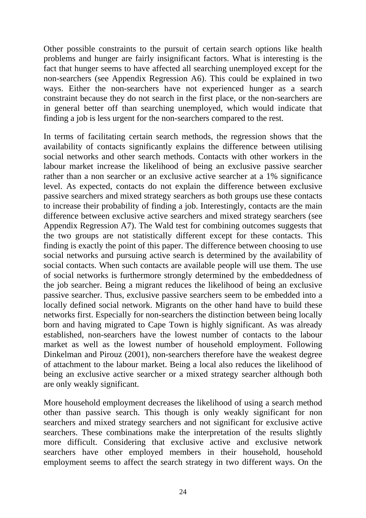Other possible constraints to the pursuit of certain search options like health problems and hunger are fairly insignificant factors. What is interesting is the fact that hunger seems to have affected all searching unemployed except for the non-searchers (see Appendix Regression A6). This could be explained in two ways. Either the non-searchers have not experienced hunger as a search constraint because they do not search in the first place, or the non-searchers are in general better off than searching unemployed, which would indicate that finding a job is less urgent for the non-searchers compared to the rest.

In terms of facilitating certain search methods, the regression shows that the availability of contacts significantly explains the difference between utilising social networks and other search methods. Contacts with other workers in the labour market increase the likelihood of being an exclusive passive searcher rather than a non searcher or an exclusive active searcher at a 1% significance level. As expected, contacts do not explain the difference between exclusive passive searchers and mixed strategy searchers as both groups use these contacts to increase their probability of finding a job. Interestingly, contacts are the main difference between exclusive active searchers and mixed strategy searchers (see Appendix Regression A7). The Wald test for combining outcomes suggests that the two groups are not statistically different except for these contacts. This finding is exactly the point of this paper. The difference between choosing to use social networks and pursuing active search is determined by the availability of social contacts. When such contacts are available people will use them. The use of social networks is furthermore strongly determined by the embeddedness of the job searcher. Being a migrant reduces the likelihood of being an exclusive passive searcher. Thus, exclusive passive searchers seem to be embedded into a locally defined social network. Migrants on the other hand have to build these networks first. Especially for non-searchers the distinction between being locally born and having migrated to Cape Town is highly significant. As was already established, non-searchers have the lowest number of contacts to the labour market as well as the lowest number of household employment. Following Dinkelman and Pirouz (2001), non-searchers therefore have the weakest degree of attachment to the labour market. Being a local also reduces the likelihood of being an exclusive active searcher or a mixed strategy searcher although both are only weakly significant.

More household employment decreases the likelihood of using a search method other than passive search. This though is only weakly significant for non searchers and mixed strategy searchers and not significant for exclusive active searchers. These combinations make the interpretation of the results slightly more difficult. Considering that exclusive active and exclusive network searchers have other employed members in their household, household employment seems to affect the search strategy in two different ways. On the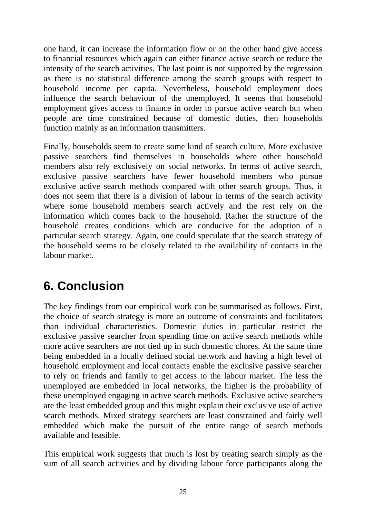one hand, it can increase the information flow or on the other hand give access to financial resources which again can either finance active search or reduce the intensity of the search activities. The last point is not supported by the regression as there is no statistical difference among the search groups with respect to household income per capita. Nevertheless, household employment does influence the search behaviour of the unemployed. It seems that household employment gives access to finance in order to pursue active search but when people are time constrained because of domestic duties, then households function mainly as an information transmitters.

Finally, households seem to create some kind of search culture*.* More exclusive passive searchers find themselves in households where other household members also rely exclusively on social networks. In terms of active search, exclusive passive searchers have fewer household members who pursue exclusive active search methods compared with other search groups*.* Thus, it does not seem that there is a division of labour in terms of the search activity where some household members search actively and the rest rely on the information which comes back to the household. Rather the structure of the household creates conditions which are conducive for the adoption of a particular search strategy. Again, one could speculate that the search strategy of the household seems to be closely related to the availability of contacts in the labour market.

## **6. Conclusion**

The key findings from our empirical work can be summarised as follows. First, the choice of search strategy is more an outcome of constraints and facilitators than individual characteristics. Domestic duties in particular restrict the exclusive passive searcher from spending time on active search methods while more active searchers are not tied up in such domestic chores. At the same time being embedded in a locally defined social network and having a high level of household employment and local contacts enable the exclusive passive searcher to rely on friends and family to get access to the labour market. The less the unemployed are embedded in local networks, the higher is the probability of these unemployed engaging in active search methods. Exclusive active searchers are the least embedded group and this might explain their exclusive use of active search methods. Mixed strategy searchers are least constrained and fairly well embedded which make the pursuit of the entire range of search methods available and feasible.

This empirical work suggests that much is lost by treating search simply as the sum of all search activities and by dividing labour force participants along the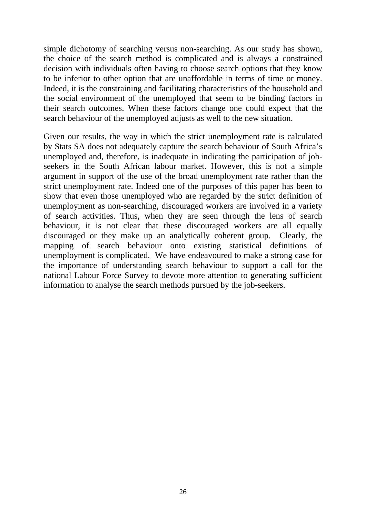simple dichotomy of searching versus non-searching. As our study has shown, the choice of the search method is complicated and is always a constrained decision with individuals often having to choose search options that they know to be inferior to other option that are unaffordable in terms of time or money. Indeed, it is the constraining and facilitating characteristics of the household and the social environment of the unemployed that seem to be binding factors in their search outcomes. When these factors change one could expect that the search behaviour of the unemployed adjusts as well to the new situation.

Given our results, the way in which the strict unemployment rate is calculated by Stats SA does not adequately capture the search behaviour of South Africa's unemployed and, therefore, is inadequate in indicating the participation of jobseekers in the South African labour market. However, this is not a simple argument in support of the use of the broad unemployment rate rather than the strict unemployment rate. Indeed one of the purposes of this paper has been to show that even those unemployed who are regarded by the strict definition of unemployment as non-searching, discouraged workers are involved in a variety of search activities. Thus, when they are seen through the lens of search behaviour, it is not clear that these discouraged workers are all equally discouraged or they make up an analytically coherent group. Clearly, the mapping of search behaviour onto existing statistical definitions of unemployment is complicated. We have endeavoured to make a strong case for the importance of understanding search behaviour to support a call for the national Labour Force Survey to devote more attention to generating sufficient information to analyse the search methods pursued by the job-seekers.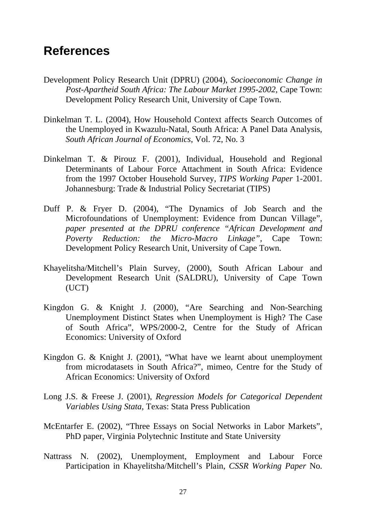## **References**

- Development Policy Research Unit (DPRU) (2004), *Socioeconomic Change in Post-Apartheid South Africa: The Labour Market 1995-2002*, Cape Town: Development Policy Research Unit, University of Cape Town.
- Dinkelman T. L. (2004), How Household Context affects Search Outcomes of the Unemployed in Kwazulu-Natal, South Africa: A Panel Data Analysis, *South African Journal of Economics*, Vol. 72, No. 3
- Dinkelman T. & Pirouz F. (2001), Individual, Household and Regional Determinants of Labour Force Attachment in South Africa: Evidence from the 1997 October Household Survey, *TIPS Working Paper* 1-2001. Johannesburg: Trade & Industrial Policy Secretariat (TIPS)
- Duff P. & Fryer D. (2004), "The Dynamics of Job Search and the Microfoundations of Unemployment: Evidence from Duncan Village", *paper presented at the DPRU conference "African Development and Poverty Reduction: the Micro-Macro Linkage",* Cape Town: Development Policy Research Unit, University of Cape Town.
- Khayelitsha/Mitchell's Plain Survey, (2000), South African Labour and Development Research Unit (SALDRU), University of Cape Town (UCT)
- Kingdon G. & Knight J. (2000), "Are Searching and Non-Searching Unemployment Distinct States when Unemployment is High? The Case of South Africa", WPS/2000-2, Centre for the Study of African Economics: University of Oxford
- Kingdon G. & Knight J. (2001), "What have we learnt about unemployment from microdatasets in South Africa?", mimeo, Centre for the Study of African Economics: University of Oxford
- Long J.S. & Freese J. (2001), *Regression Models for Categorical Dependent Variables Using Stata*, Texas: Stata Press Publication
- McEntarfer E. (2002), "Three Essays on Social Networks in Labor Markets", PhD paper, Virginia Polytechnic Institute and State University
- Nattrass N. (2002), Unemployment, Employment and Labour Force Participation in Khayelitsha/Mitchell's Plain, *CSSR Working Paper* No.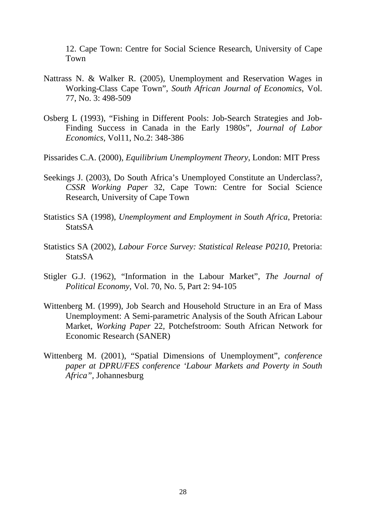12. Cape Town: Centre for Social Science Research, University of Cape Town

- Nattrass N. & Walker R. (2005), Unemployment and Reservation Wages in Working-Class Cape Town", *South African Journal of Economics*, Vol. 77, No. 3: 498-509
- Osberg L (1993), "Fishing in Different Pools: Job-Search Strategies and Job-Finding Success in Canada in the Early 1980s", *Journal of Labor Economics*, Vol11, No.2: 348-386
- Pissarides C.A. (2000), *Equilibrium Unemployment Theory*, London: MIT Press
- Seekings J. (2003), Do South Africa's Unemployed Constitute an Underclass?, *CSSR Working Paper* 32, Cape Town: Centre for Social Science Research, University of Cape Town
- Statistics SA (1998), *Unemployment and Employment in South Africa*, Pretoria: **StatsSA**
- Statistics SA (2002), *Labour Force Survey: Statistical Release P0210*, Pretoria: StatsSA
- Stigler G.J. (1962), "Information in the Labour Market", *The Journal of Political Economy*, Vol. 70, No. 5, Part 2: 94-105
- Wittenberg M. (1999), Job Search and Household Structure in an Era of Mass Unemployment: A Semi-parametric Analysis of the South African Labour Market, *Working Paper* 22, Potchefstroom: South African Network for Economic Research (SANER)
- Wittenberg M. (2001), "Spatial Dimensions of Unemployment", *conference paper at DPRU/FES conference 'Labour Markets and Poverty in South Africa",* Johannesburg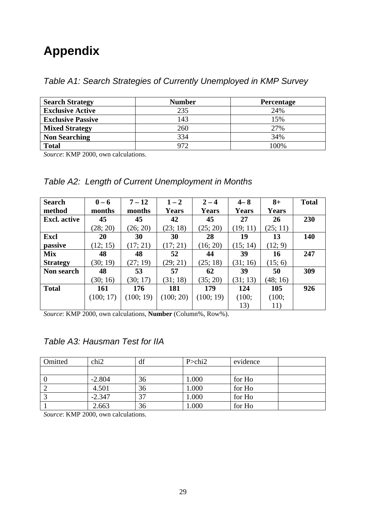# **Appendix**

*Table A1: Search Strategies of Currently Unemployed in KMP Survey* 

| <b>Search Strategy</b>   | <b>Number</b> | Percentage |
|--------------------------|---------------|------------|
| <b>Exclusive Active</b>  | 235           | 24%        |
| <b>Exclusive Passive</b> | 143           | 15%        |
| <b>Mixed Strategy</b>    | 260           | 27%        |
| <b>Non Searching</b>     | 334           | 34%        |
| <b>Total</b>             | 972           | 100%       |

*Source*: KMP 2000, own calculations.

#### *Table A2: Length of Current Unemployment in Months*

| <b>Search</b>       | $0 - 6$   | $7 - 12$  | $1 - 2$      | $2 - 4$      | $4 - 8$      | $8+$         | <b>Total</b> |
|---------------------|-----------|-----------|--------------|--------------|--------------|--------------|--------------|
| method              | months    | months    | <b>Years</b> | <b>Years</b> | <b>Years</b> | <b>Years</b> |              |
| <b>Excl.</b> active | 45        | 45        | 42           | 45           | 27           | 26           | 230          |
|                     | (28; 20)  | (26; 20)  | (23; 18)     | (25; 20)     | (19; 11)     | (25; 11)     |              |
| Excl                | 20        | 30        | 30           | 28           | 19           | 13           | 140          |
| passive             | (12; 15)  | (17; 21)  | (17; 21)     | (16; 20)     | (15; 14)     | (12; 9)      |              |
| <b>Mix</b>          | 48        | 48        | 52           | 44           | 39           | 16           | 247          |
| <b>Strategy</b>     | (30; 19)  | (27; 19)  | (29; 21)     | (25; 18)     | (31; 16)     | (15; 6)      |              |
| Non search          | 48        | 53        | 57           | 62           | 39           | 50           | 309          |
|                     | (30; 16)  | (30; 17)  | (31; 18)     | (35; 20)     | (31; 13)     | (48; 16)     |              |
| <b>Total</b>        | 161       | 176       | 181          | 179          | 124          | 105          | 926          |
|                     | (100; 17) | (100; 19) | (100; 20)    | (100; 19)    | (100;        | (100;        |              |
|                     |           |           |              |              | 13)          | 11)          |              |

*Source*: KMP 2000, own calculations, **Number** (Column%, Row%).

#### *Table A3: Hausman Test for IIA*

| Omitted          | chi <sub>2</sub> | df | P > chi2 | evidence |  |
|------------------|------------------|----|----------|----------|--|
|                  |                  |    |          |          |  |
| $\boldsymbol{0}$ | $-2.804$         | 36 | 000.1    | for Ho   |  |
|                  | 4.501            | 36 | .000     | for Ho   |  |
|                  | $-2.347$         | 37 | 000.1    | for Ho   |  |
|                  | 2.663            | 36 | .000     | for Ho   |  |

*Source*: KMP 2000, own calculations.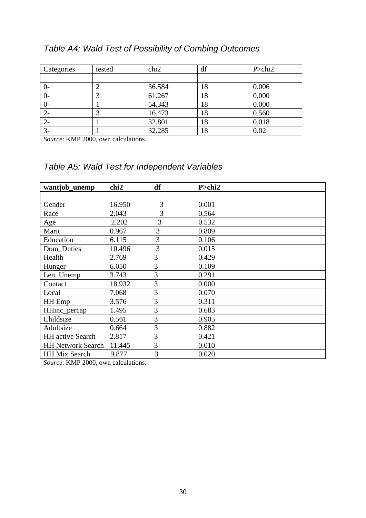| Table A4: Wald Test of Possibility of Combing Outcomes |  |  |
|--------------------------------------------------------|--|--|
|--------------------------------------------------------|--|--|

| Categories | tested | chi <sub>2</sub> | df | P > chi2 |
|------------|--------|------------------|----|----------|
|            |        |                  |    |          |
| $\sigma$   |        | 36.584           | 18 | 0.006    |
| $0-$       |        | 61.267           | 18 | 0.000    |
| $0-$       |        | 54.343           | 18 | 0.000    |
| $2 -$      |        | 16.473           | 18 | 0.560    |
| $2 -$      |        | 32.801           | 18 | 0.018    |
| $3-$       |        | 32.285           | 18 | 0.02     |

*Source*: KMP 2000, own calculations.

#### *Table A5: Wald Test for Independent Variables*

| wantjob_unemp            | chi <sub>2</sub> | df             | $P >$ chi2 |
|--------------------------|------------------|----------------|------------|
|                          |                  |                |            |
| Gender                   | 16.950           | $\overline{3}$ | 0.001      |
| Race                     | 2.043            | 3              | 0.564      |
| Age                      | 2.202            | 3              | 0.532      |
| Marit                    | 0.967            | 3              | 0.809      |
| Education                | 6.115            | 3              | 0.106      |
| Dom Duties               | 10.496           | 3              | 0.015      |
| Health                   | 2.769            | 3              | 0.429      |
| Hunger                   | 6.050            | 3              | 0.109      |
| Len. Unemp               | 3.743            | 3              | 0.291      |
| Contact                  | 18.932           | 3              | 0.000      |
| Local                    | 7.068            | 3              | 0.070      |
| HH Emp                   | 3.576            | 3              | 0.311      |
| HHinc_percap             | 1.495            | 3              | 0.683      |
| Childsize                | 0.561            | 3              | 0.905      |
| Adultsize                | 0.664            | 3              | 0.882      |
| <b>HH</b> active Search  | 2.817            | 3              | 0.421      |
| <b>HH Network Search</b> | 11.445           | 3              | 0.010      |
| <b>HH Mix Search</b>     | 9.877            | 3              | 0.020      |

*Source*: KMP 2000, own calculations.